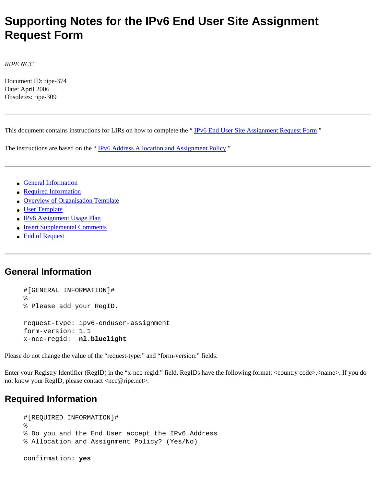# **Supporting Notes for the IPv6 End User Site Assignment Request Form**

*RIPE NCC*

Document ID: ripe-374 Date: April 2006 Obsoletes: ripe-309

This document contains instructions for LIRs on how to complete the "IPv6 End User Site Assignment Request Form "

The instructions are based on the "[IPv6 Address Allocation and Assignment Policy](http://test-www.ripe.net/ripe/docs/ipv6-policy.html)"

- [General Information](#page-0-0)
- [Required Information](#page-0-1)
- [Overview of Organisation Template](#page-1-0)
- [User Template](#page-1-1)
- [IPv6 Assignment Usage Plan](#page-2-0)
- [Insert Supplemental Comments](#page-2-1)
- [End of Request](#page-2-2)

### <span id="page-0-0"></span>**General Information**

#[GENERAL INFORMATION]# % % Please add your RegID. request-type: ipv6-enduser-assignment form-version: 1.1 x-ncc-regid: **nl.bluelight**

Please do not change the value of the "request-type:" and "form-version:" fields.

Enter your Registry Identifier (RegID) in the "x-ncc-regid:" field. RegIDs have the following format: <country code>.<name>. If you do not know your RegID, please contact <ncc@ripe.net>.

## <span id="page-0-1"></span>**Required Information**

```
#[REQUIRED INFORMATION]#
%
% Do you and the End User accept the IPv6 Address 
% Allocation and Assignment Policy? (Yes/No)
confirmation: yes
```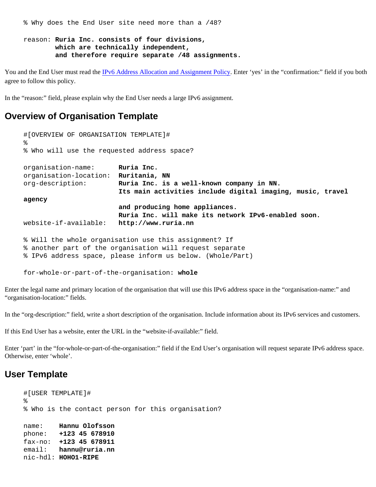% Why does the End User site need more than a /48?

#### reason: **Ruria Inc. consists of four divisions, which are technically independent, and therefore require separate /48 assignments.**

You and the End User must read the [IPv6 Address Allocation and Assignment Policy](http://test-www.ripe.net/ripe/docs/ipv6-policy.html). Enter 'yes' in the "confirmation:" field if you both agree to follow this policy.

In the "reason:" field, please explain why the End User needs a large IPv6 assignment.

#### <span id="page-1-0"></span>**Overview of Organisation Template**

```
#[OVERVIEW OF ORGANISATION TEMPLATE]#
%
% Who will use the requested address space?
organisation-name: Ruria Inc.
organisation-location: Ruritania, NN
org-description: Ruria Inc. is a well-known company in NN.
                         Its main activities include digital imaging, music, travel 
agency 
                         and producing home appliances.
                        Ruria Inc. will make its network IPv6-enabled soon.
website-if-available: http://www.ruria.nn
% Will the whole organisation use this assignment? If 
% another part of the organisation will request separate 
% IPv6 address space, please inform us below. (Whole/Part)
```
for-whole-or-part-of-the-organisation: **whole**

Enter the legal name and primary location of the organisation that will use this IPv6 address space in the "organisation-name:" and "organisation-location:" fields.

In the "org-description:" field, write a short description of the organisation. Include information about its IPv6 services and customers.

If this End User has a website, enter the URL in the "website-if-available:" field.

Enter 'part' in the "for-whole-or-part-of-the-organisation:" field if the End User's organisation will request separate IPv6 address space. Otherwise, enter 'whole'.

#### <span id="page-1-1"></span>**User Template**

```
#[USER TEMPLATE]#
%
% Who is the contact person for this organisation?
name: Hannu Olofsson
phone: +123 45 678910
fax-no: +123 45 678911
email: hannu@ruria.nn
nic-hdl: HOHO1-RIPE
```